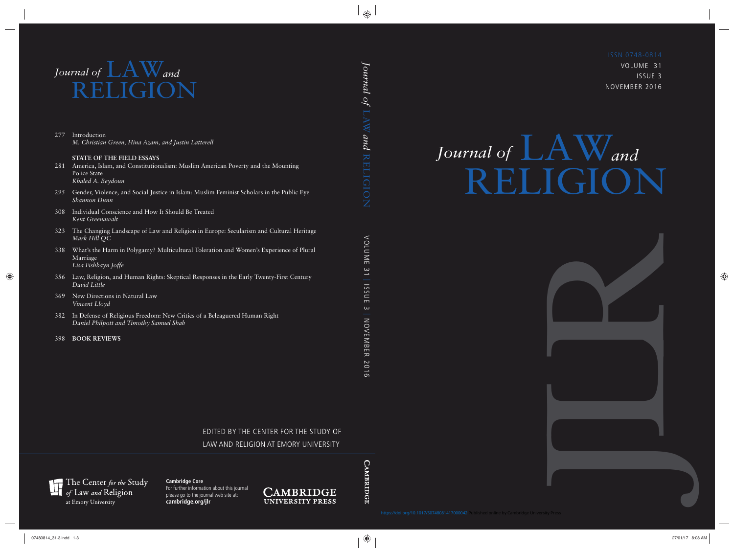VOLUME 31 ISSUE 3 NOVEMBER 2016

# *Journal of*  $\mathbf{L}$  **A** W and RELIGION LAW

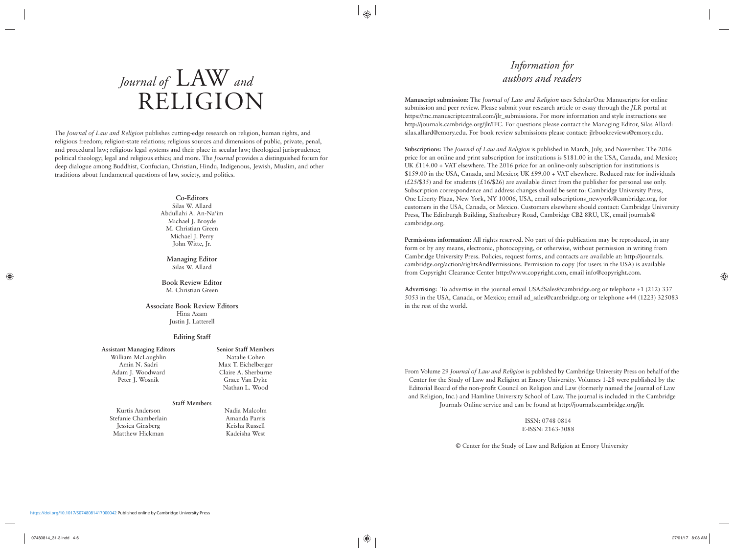## *Journal of* LAW *and* RELIGION

The *Journal of Law and Religion* publishes cutting-edge research on religion, human rights, and religious freedom; religion-state relations; religious sources and dimensions of public, private, penal, and procedural law; religious legal systems and their place in secular law; theological jurisprudence; political theology; legal and religious ethics; and more. The *Journal* provides a distinguished forum for deep dialogue among Buddhist, Confucian, Christian, Hindu, Indigenous, Jewish, Muslim, and other traditions about fundamental questions of law, society, and politics.

#### **Co-Editors**

Silas W. Allard Abdullahi A. An-Na'im Michael J. Broyde M. Christian Green Michael J. Perry John Witte, Jr.

**Managing Editor** Silas W. Allard

#### **Book Review Editor** M. Christian Green

#### **Associate Book Review Editors** Hina Azam

Justin J. Latterell

#### **Editing Staff**

#### **Assistant Managing Editors** William McLaughlin Amin N. Sadri Adam J. Woodward Peter J. Wosnik

**Senior Staff Members** Natalie Cohen Max T. Eichelberger Claire A. Sherburne Grace Van Dyke Nathan L. Wood

#### **Staff Members**

Kurtis Anderson Stefanie Chamberlain Jessica Ginsberg Matthew Hickman

Nadia Malcolm Amanda Parris Keisha Russell Kadeisha West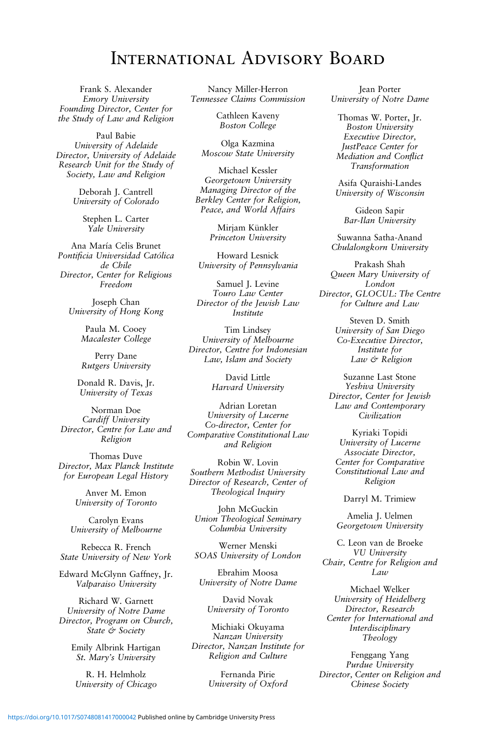### International Advisory Board

Frank S. Alexander Emory University Founding Director, Center for the Study of Law and Religion

Paul Babie University of Adelaide Director, University of Adelaide Research Unit for the Study of Society, Law and Religion

> Deborah J. Cantrell University of Colorado

> > Stephen L. Carter Yale University

Ana María Celis Brunet Pontificia Universidad Católica de Chile Director, Center for Religious Freedom

Joseph Chan University of Hong Kong

> Paula M. Cooey Macalester College

> Perry Dane Rutgers University

Donald R. Davis, Jr. University of Texas

Norman Doe Cardiff University Director, Centre for Law and Religion

Thomas Duve Director, Max Planck Institute for European Legal History

> Anver M. Emon University of Toronto

Carolyn Evans University of Melbourne

Rebecca R. French State University of New York

Edward McGlynn Gaffney, Jr. Valparaiso University

Richard W. Garnett University of Notre Dame Director, Program on Church, State & Society

> Emily Albrink Hartigan St. Mary's University

R. H. Helmholz University of Chicago

Nancy Miller-Herron Tennessee Claims Commission

> Cathleen Kaveny Boston College

Olga Kazmina Moscow State University

Michael Kessler Georgetown University Managing Director of the Berkley Center for Religion, Peace, and World Affairs

> Mirjam Künkler Princeton University

Howard Lesnick University of Pennsylvania

Samuel J. Levine Touro Law Center Director of the Jewish Law Institute

Tim Lindsey University of Melbourne Director, Centre for Indonesian Law, Islam and Society

> David Little Harvard University

Adrian Loretan University of Lucerne Co-director, Center for Comparative Constitutional Law and Religion

Robin W. Lovin Southern Methodist University Director of Research, Center of Theological Inquiry

John McGuckin Union Theological Seminary Columbia University

Werner Menski SOAS University of London

Ebrahim Moosa University of Notre Dame

David Novak University of Toronto

Michiaki Okuyama Nanzan University Director, Nanzan Institute for Religion and Culture

> Fernanda Pirie University of Oxford

Jean Porter University of Notre Dame

Thomas W. Porter, Jr. Boston University Executive Director, JustPeace Center for Mediation and Conflict Transformation

Asifa Quraishi-Landes University of Wisconsin

Gideon Sapir Bar-Ilan University

Suwanna Satha-Anand Chulalongkorn University

Prakash Shah Queen Mary University of London Director, GLOCUL: The Centre for Culture and Law

> Steven D. Smith University of San Diego Co-Executive Director, Institute for Law & Religion

Suzanne Last Stone Yeshiva University Director, Center for Jewish Law and Contemporary Civilization

Kyriaki Topidi University of Lucerne Associate Director, Center for Comparative Constitutional Law and Religion

Darryl M. Trimiew

Amelia J. Uelmen Georgetown University

C. Leon van de Broeke VU University Chair, Centre for Religion and Law

Michael Welker University of Heidelberg Director, Research Center for International and Interdisciplinary Theology

Fenggang Yang Purdue University Director, Center on Religion and Chinese Society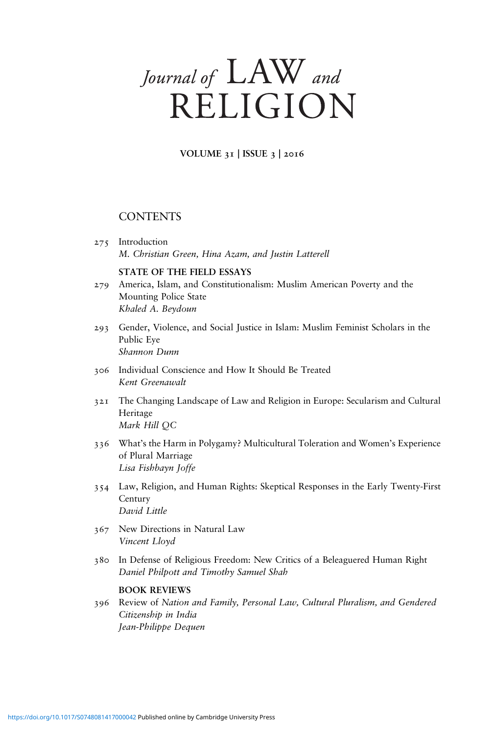### Journal of LAW and RELIGION

VOLUME 31 | ISSUE 3 | 2016

### **CONTENTS**

275 Introduction M. Christian Green, Hina Azam, and Justin Latterell

#### STATE OF THE FIELD ESSAYS

- America, Islam, and Constitutionalism: Muslim American Poverty and the Mounting Police State Khaled A. Beydoun 279
- Gender, Violence, and Social Justice in Islam: Muslim Feminist Scholars in the 293 Public Eye Shannon Dunn
- 306 Individual Conscience and How It Should Be Treated Kent Greenawalt
- The Changing Landscape of Law and Religion in Europe: Secularism and Cultural Heritage Mark Hill QC 321
- What's the Harm in Polygamy? Multicultural Toleration and Women's Experience 336 of Plural Marriage Lisa Fishbayn Joffe
- Law, Religion, and Human Rights: Skeptical Responses in the Early Twenty-First 354 Century David Little
- 367 New Directions in Natural Law Vincent Lloyd
- 380 In Defense of Religious Freedom: New Critics of a Beleaguered Human Right Daniel Philpott and Timothy Samuel Shah

#### BOOK REVIEWS

396 Review of Nation and Family, Personal Law, Cultural Pluralism, and Gendered Citizenship in India Jean-Philippe Dequen